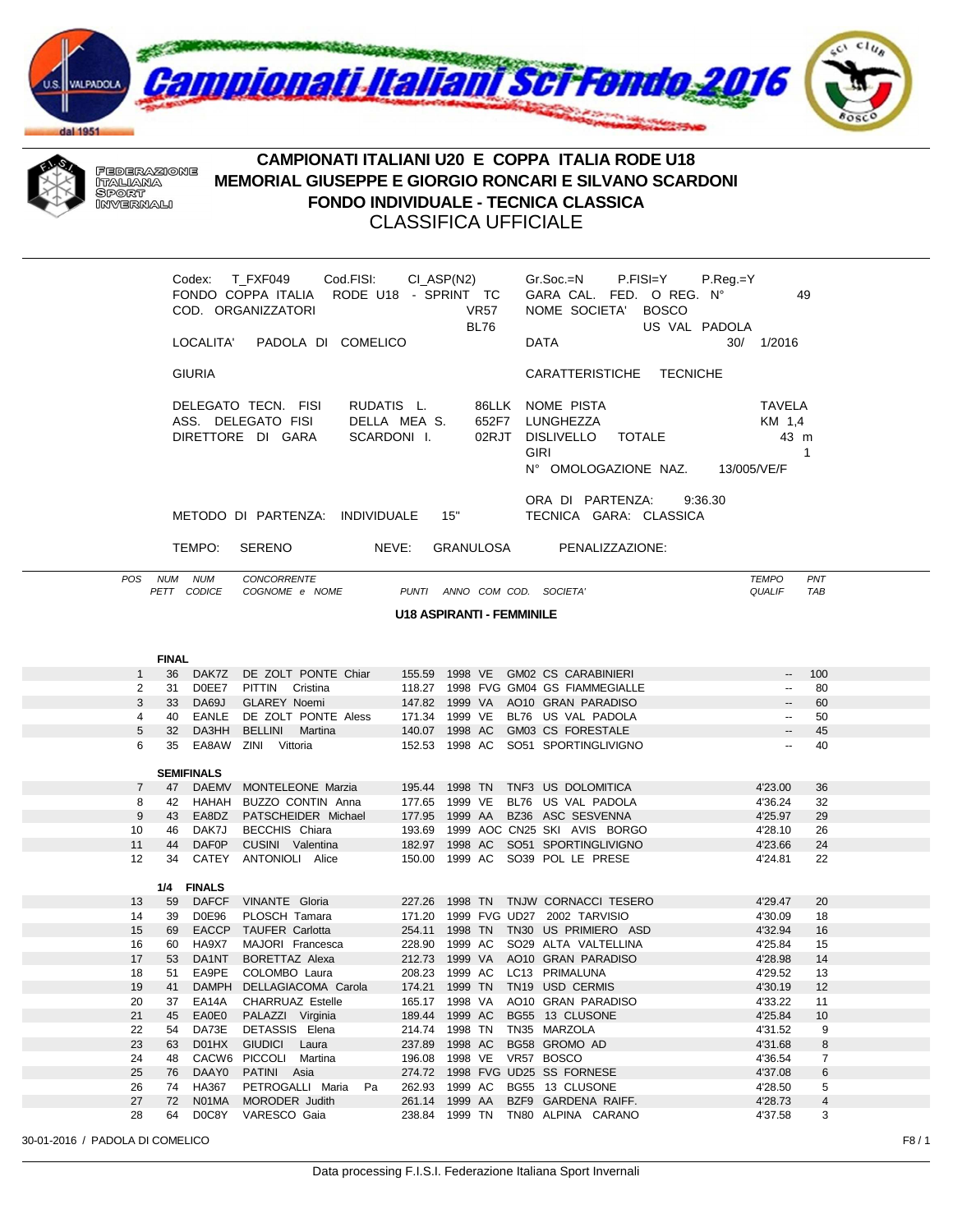



## CAMPIONATI ITALIANI U20 E COPPA ITALIA RODE U18 MEMORIAL GIUSEPPE E GIORGIO RONCARI E SILVANO SCARDONI **FONDO INDIVIDUALE - TECNICA CLASSICA CLASSIFICA UFFICIALE**

|                                                                                                                                                                                                                                                                                  |              |                   | Codex: T_FXF049    Cod.FISI:    CI_ASP(N2)<br>FONDO COPPA ITALIA RODE U18 - SPRINT TC<br>COD. ORGANIZZATORI<br>LOCALITA' PADOLA DI COMELICO |                                  | VR57<br>BL76 | $Gr.Soc.=N$ P.FISI=Y P.Reg.=Y<br>GARA CAL. FED. O REG. Nº<br>49<br>NOME SOCIETA' BOSCO<br>US VAL PADOLA<br><b>DATA</b><br>30/ 1/2016 |  |  |  |  |  |
|----------------------------------------------------------------------------------------------------------------------------------------------------------------------------------------------------------------------------------------------------------------------------------|--------------|-------------------|---------------------------------------------------------------------------------------------------------------------------------------------|----------------------------------|--------------|--------------------------------------------------------------------------------------------------------------------------------------|--|--|--|--|--|
|                                                                                                                                                                                                                                                                                  |              | <b>GIURIA</b>     |                                                                                                                                             |                                  |              | CARATTERISTICHE TECNICHE                                                                                                             |  |  |  |  |  |
| RUDATIS L. 86LLK NOME PISTA<br>DELEGATO TECN. FISI<br><b>TAVELA</b><br>652F7 LUNGHEZZA<br>ASS. DELEGATO FISI<br>DELLA MEA S.<br>KM 1,4<br>02RJT DISLIVELLO TOTALE<br>DIRETTORE DI GARA<br>SCARDONI I.<br>43 m<br><b>GIRI</b><br>$\mathbf{1}$<br>Nº OMOLOGAZIONE NAZ. 13/005/VE/F |              |                   |                                                                                                                                             |                                  |              |                                                                                                                                      |  |  |  |  |  |
| ORA DI PARTENZA: 9:36.30<br>METODO DI PARTENZA: INDIVIDUALE 15"<br>TECNICA GARA: CLASSICA                                                                                                                                                                                        |              |                   |                                                                                                                                             |                                  |              |                                                                                                                                      |  |  |  |  |  |
|                                                                                                                                                                                                                                                                                  |              | TEMPO:            | SERENO                                                                                                                                      |                                  |              | NEVE: GRANULOSA PENALIZZAZIONE:                                                                                                      |  |  |  |  |  |
|                                                                                                                                                                                                                                                                                  | POS NUM NUM  |                   | CONCORRENTE<br>PETT CODICE COGNOME e NOME PUNTI ANNO COM COD. SOCIETA'                                                                      |                                  |              | PNT<br><b>TEMPO</b><br>QUALIF<br>TAB                                                                                                 |  |  |  |  |  |
|                                                                                                                                                                                                                                                                                  |              |                   |                                                                                                                                             | <b>U18 ASPIRANTI - FEMMINILE</b> |              |                                                                                                                                      |  |  |  |  |  |
|                                                                                                                                                                                                                                                                                  |              |                   |                                                                                                                                             |                                  |              |                                                                                                                                      |  |  |  |  |  |
|                                                                                                                                                                                                                                                                                  |              |                   |                                                                                                                                             |                                  |              |                                                                                                                                      |  |  |  |  |  |
| $1 \quad$                                                                                                                                                                                                                                                                        | <b>FINAL</b> |                   | 36 DAK7Z DE ZOLT PONTE Chiar 155.59 1998 VE GM02 CS CARABINIERI                                                                             |                                  |              | 100<br>$\sim$                                                                                                                        |  |  |  |  |  |
| $\overline{2}$                                                                                                                                                                                                                                                                   |              |                   | 31 DOEE7 PITTIN Cristina 118.27 1998 FVG GM04 GS FIAMMEGIALLE                                                                               |                                  |              | 80<br>$\overline{\phantom{a}}$                                                                                                       |  |  |  |  |  |
| 3                                                                                                                                                                                                                                                                                |              | 33 DA69J          | GLAREY Noemi 147.82 1999 VA AO10 GRAN PARADISO                                                                                              |                                  |              | 60<br>$\overline{\phantom{a}}$                                                                                                       |  |  |  |  |  |
| 4                                                                                                                                                                                                                                                                                |              | 40 EANLE          | DE ZOLT PONTE Aless 171.34 1999 VE BL76 US VAL PADOLA                                                                                       |                                  |              | 50<br>$\overline{\phantom{a}}$                                                                                                       |  |  |  |  |  |
| $\sqrt{5}$<br>6                                                                                                                                                                                                                                                                  |              |                   | 32 DA3HH BELLINI Martina 140.07 1998 AC GM03 CS FORESTALE                                                                                   |                                  |              | $\overline{\phantom{a}}$<br>45<br>$\overline{\phantom{a}}$                                                                           |  |  |  |  |  |
|                                                                                                                                                                                                                                                                                  |              |                   | 35 EA8AW ZINI Vittoria                                                                                                                      |                                  |              | 152.53 1998 AC SO51 SPORTINGLIVIGNO<br>40                                                                                            |  |  |  |  |  |
|                                                                                                                                                                                                                                                                                  |              | <b>SEMIFINALS</b> |                                                                                                                                             |                                  |              |                                                                                                                                      |  |  |  |  |  |
| $\overline{7}$                                                                                                                                                                                                                                                                   |              |                   | 47 DAEMV MONTELEONE Marzia                                                                                                                  |                                  |              | 195.44 1998 TN TNF3 US DOLOMITICA<br>4'23.00<br>36                                                                                   |  |  |  |  |  |
| 8                                                                                                                                                                                                                                                                                |              |                   | 42 HAHAH BUZZO CONTIN Anna 177.65 1999 VE BL76 US VAL PADOLA                                                                                |                                  |              | 4'36.24<br>32                                                                                                                        |  |  |  |  |  |
| 9                                                                                                                                                                                                                                                                                |              |                   | 43 EA8DZ PATSCHEIDER Michael                                                                                                                |                                  |              | 177.95 1999 AA BZ36 ASC SESVENNA<br>4'25.97<br>29                                                                                    |  |  |  |  |  |
| 10                                                                                                                                                                                                                                                                               | 46           |                   | DAK7J BECCHIS Chiara                                                                                                                        |                                  |              | 193.69 1999 AOC CN25 SKI AVIS BORGO<br>4'28.10<br>26                                                                                 |  |  |  |  |  |
| 11<br>12                                                                                                                                                                                                                                                                         | 44           | <b>DAF0P</b>      | CUSINI Valentina<br>34 CATEY ANTONIOLI Alice                                                                                                |                                  |              | 182.97 1998 AC SO51 SPORTINGLIVIGNO<br>4'23.66<br>24<br>150.00 1999 AC SO39 POL LE PRESE<br>4'24.81<br>22                            |  |  |  |  |  |
|                                                                                                                                                                                                                                                                                  |              |                   |                                                                                                                                             |                                  |              |                                                                                                                                      |  |  |  |  |  |
|                                                                                                                                                                                                                                                                                  |              | 1/4 FINALS        |                                                                                                                                             |                                  |              |                                                                                                                                      |  |  |  |  |  |
| 13                                                                                                                                                                                                                                                                               | 59           |                   | DAFCF VINANTE Gloria                                                                                                                        |                                  |              | 227.26 1998 TN TNJW CORNACCI TESERO<br>4'29.47<br>20                                                                                 |  |  |  |  |  |
| 14                                                                                                                                                                                                                                                                               |              | 39 D0E96          | PLOSCH Tamara                                                                                                                               |                                  |              | 171.20 1999 FVG UD27 2002 TARVISIO<br>4'30.09<br>18                                                                                  |  |  |  |  |  |
| 15                                                                                                                                                                                                                                                                               | 69           |                   | EACCP TAUFER Carlotta                                                                                                                       |                                  |              | 254.11 1998 TN TN30 US PRIMIERO ASD<br>4'32.94<br>16                                                                                 |  |  |  |  |  |
| 16<br>17                                                                                                                                                                                                                                                                         | 60           | HA9X7             | MAJORI Francesca<br>53 DA1NT BORETTAZ Alexa                                                                                                 |                                  |              | 228.90 1999 AC SO29 ALTA VALTELLINA<br>4'25.84<br>15<br>212.73 1999 VA AO10 GRAN PARADISO<br>4'28.98<br>14                           |  |  |  |  |  |
| 18                                                                                                                                                                                                                                                                               | 51           | EA9PE             | COLOMBO Laura                                                                                                                               | 208.23                           | 1999 AC      | LC13 PRIMALUNA<br>4'29.52<br>13                                                                                                      |  |  |  |  |  |
| 19                                                                                                                                                                                                                                                                               | 41           |                   | DAMPH DELLAGIACOMA Carola                                                                                                                   | 174.21                           | 1999 TN      | 4'30.19<br>12<br>TN19 USD CERMIS                                                                                                     |  |  |  |  |  |
| 20                                                                                                                                                                                                                                                                               | 37           | EA14A             | <b>CHARRUAZ Estelle</b>                                                                                                                     | 165.17                           | 1998 VA      | AO10 GRAN PARADISO<br>4'33.22<br>11                                                                                                  |  |  |  |  |  |
| 21                                                                                                                                                                                                                                                                               | 45           | EA0E0             | PALAZZI Virginia                                                                                                                            | 189.44                           | 1999 AC      | BG55 13 CLUSONE<br>4'25.84<br>10                                                                                                     |  |  |  |  |  |
| 22                                                                                                                                                                                                                                                                               | 54           | DA73E             | DETASSIS Elena                                                                                                                              | 214.74                           | 1998 TN      | TN35 MARZOLA<br>4'31.52<br>9                                                                                                         |  |  |  |  |  |
| 23                                                                                                                                                                                                                                                                               | 63           | D01HX             | <b>GIUDICI</b><br>Laura                                                                                                                     | 237.89                           | 1998 AC      | BG58 GROMO AD<br>4'31.68<br>8                                                                                                        |  |  |  |  |  |
| 24                                                                                                                                                                                                                                                                               | 48           |                   | CACW6 PICCOLI Martina                                                                                                                       | 196.08                           | 1998 VE      | VR57 BOSCO<br>4'36.54<br>$\overline{7}$                                                                                              |  |  |  |  |  |
| 25                                                                                                                                                                                                                                                                               | 76           | DAAY0             | PATINI Asia                                                                                                                                 | 274.72                           |              | 1998 FVG UD25 SS FORNESE<br>4'37.08<br>6                                                                                             |  |  |  |  |  |
| 26                                                                                                                                                                                                                                                                               | 74           | HA367             | PETROGALLI Maria<br>Pa                                                                                                                      | 262.93                           | 1999 AC      | BG55 13 CLUSONE<br>4'28.50<br>5                                                                                                      |  |  |  |  |  |
| 27                                                                                                                                                                                                                                                                               | 72           | N01MA             | MORODER Judith                                                                                                                              | 261.14                           | 1999 AA      | BZF9 GARDENA RAIFF.<br>4'28.73<br>4                                                                                                  |  |  |  |  |  |
| 28                                                                                                                                                                                                                                                                               | 64           | D0C8Y             | VARESCO Gaia                                                                                                                                | 238.84                           |              | 1999 TN TN80 ALPINA CARANO<br>4'37.58<br>3                                                                                           |  |  |  |  |  |

30-01-2016 / PADOLA DI COMELICO